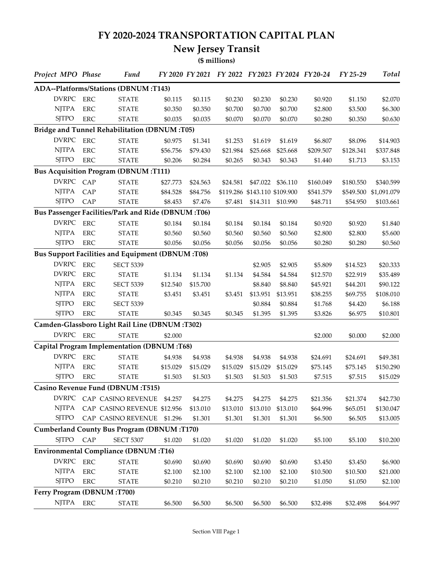## **FY 2020-2024 TRANSPORTATION CAPITAL PLAN**

## **New Jersey Transit**

**(\$ millions)**

| Project MPO Phase          |            | Fund                                                    |          |          | FY 2020 FY 2021 FY 2022 FY 2023 FY 2024 FY 20-24 |                               |          |           | FY 25-29  | <b>Total</b> |
|----------------------------|------------|---------------------------------------------------------|----------|----------|--------------------------------------------------|-------------------------------|----------|-----------|-----------|--------------|
|                            |            | ADA--Platforms/Stations (DBNUM:T143)                    |          |          |                                                  |                               |          |           |           |              |
| <b>DVRPC</b>               | ERC        | <b>STATE</b>                                            | \$0.115  | \$0.115  | \$0.230                                          | \$0.230                       | \$0.230  | \$0.920   | \$1.150   | \$2.070      |
| <b>NJTPA</b>               | <b>ERC</b> | <b>STATE</b>                                            | \$0.350  | \$0.350  | \$0.700                                          | \$0.700                       | \$0.700  | \$2.800   | \$3.500   | \$6.300      |
| <b>SITPO</b>               | <b>ERC</b> | <b>STATE</b>                                            | \$0.035  | \$0.035  | \$0.070                                          | \$0.070                       | \$0.070  | \$0.280   | \$0.350   | \$0.630      |
|                            |            | Bridge and Tunnel Rehabilitation (DBNUM:T05)            |          |          |                                                  |                               |          |           |           |              |
| <b>DVRPC</b>               | <b>ERC</b> | <b>STATE</b>                                            | \$0.975  | \$1.341  | \$1.253                                          | \$1.619                       | \$1.619  | \$6.807   | \$8.096   | \$14.903     |
| <b>NJTPA</b>               | <b>ERC</b> | <b>STATE</b>                                            | \$56.756 | \$79.430 | \$21.984                                         | \$25.668                      | \$25.668 | \$209.507 | \$128.341 | \$337.848    |
| <b>SITPO</b>               | <b>ERC</b> | <b>STATE</b>                                            | \$0.206  | \$0.284  | \$0.265                                          | \$0.343                       | \$0.343  | \$1.440   | \$1.713   | \$3.153      |
|                            |            | <b>Bus Acquisition Program (DBNUM:T111)</b>             |          |          |                                                  |                               |          |           |           |              |
| DVRPC CAP                  |            | <b>STATE</b>                                            | \$27.773 | \$24.563 | \$24.581                                         | \$47.022                      | \$36.110 | \$160.049 | \$180.550 | \$340.599    |
| <b>NJTPA</b>               | CAP        | <b>STATE</b>                                            | \$84.528 | \$84.756 |                                                  | \$119.286 \$143.110 \$109.900 |          | \$541.579 | \$549.500 | \$1,091.079  |
| <b>SJTPO</b>               | CAP        | <b>STATE</b>                                            | \$8.453  | \$7.476  | \$7.481                                          | \$14.311                      | \$10.990 | \$48.711  | \$54.950  | \$103.661    |
|                            |            | Bus Passenger Facilities/Park and Ride (DBNUM:T06)      |          |          |                                                  |                               |          |           |           |              |
| <b>DVRPC</b>               | <b>ERC</b> | <b>STATE</b>                                            | \$0.184  | \$0.184  | \$0.184                                          | \$0.184                       | \$0.184  | \$0.920   | \$0.920   | \$1.840      |
| <b>NJTPA</b>               | <b>ERC</b> | <b>STATE</b>                                            | \$0.560  | \$0.560  | \$0.560                                          | \$0.560                       | \$0.560  | \$2.800   | \$2.800   | \$5.600      |
| <b>SJTPO</b>               | <b>ERC</b> | <b>STATE</b>                                            | \$0.056  | \$0.056  | \$0.056                                          | \$0.056                       | \$0.056  | \$0.280   | \$0.280   | \$0.560      |
|                            |            | <b>Bus Support Facilities and Equipment (DBNUM:T08)</b> |          |          |                                                  |                               |          |           |           |              |
| <b>DVRPC</b>               | ERC        | <b>SECT 5339</b>                                        |          |          |                                                  | \$2.905                       | \$2.905  | \$5.809   | \$14.523  | \$20.333     |
| <b>DVRPC</b>               | <b>ERC</b> | <b>STATE</b>                                            | \$1.134  | \$1.134  | \$1.134                                          | \$4.584                       | \$4.584  | \$12.570  | \$22.919  | \$35.489     |
| <b>NJTPA</b>               | <b>ERC</b> | <b>SECT 5339</b>                                        | \$12.540 | \$15.700 |                                                  | \$8.840                       | \$8.840  | \$45.921  | \$44.201  | \$90.122     |
| <b>NJTPA</b>               | <b>ERC</b> | <b>STATE</b>                                            | \$3.451  | \$3.451  | \$3.451                                          | \$13.951                      | \$13.951 | \$38.255  | \$69.755  | \$108.010    |
| <b>SJTPO</b>               | <b>ERC</b> | <b>SECT 5339</b>                                        |          |          |                                                  | \$0.884                       | \$0.884  | \$1.768   | \$4.420   | \$6.188      |
| <b>SJTPO</b>               | <b>ERC</b> | <b>STATE</b>                                            | \$0.345  | \$0.345  | \$0.345                                          | \$1.395                       | \$1.395  | \$3.826   | \$6.975   | \$10.801     |
|                            |            | Camden-Glassboro Light Rail Line (DBNUM:T302)           |          |          |                                                  |                               |          |           |           |              |
| DVRPC ERC                  |            | <b>STATE</b>                                            | \$2.000  |          |                                                  |                               |          | \$2.000   | \$0.000   | \$2.000      |
|                            |            | Capital Program Implementation (DBNUM:T68)              |          |          |                                                  |                               |          |           |           |              |
| <b>DVRPC</b>               | <b>ERC</b> | <b>STATE</b>                                            | \$4.938  | \$4.938  | \$4.938                                          | \$4.938                       | \$4.938  | \$24.691  | \$24.691  | \$49.381     |
| <b>NJTPA</b>               | <b>ERC</b> | <b>STATE</b>                                            | \$15.029 | \$15.029 | \$15.029                                         | \$15.029                      | \$15.029 | \$75.145  | \$75.145  | \$150.290    |
| <b>SJTPO</b>               | <b>ERC</b> | <b>STATE</b>                                            | \$1.503  | \$1.503  | \$1.503                                          | \$1.503                       | \$1.503  | \$7.515   | \$7.515   | \$15.029     |
|                            |            | Casino Revenue Fund (DBNUM:T515)                        |          |          |                                                  |                               |          |           |           |              |
|                            |            | DVRPC CAP CASINO REVENUE                                | \$4.257  | \$4.275  | \$4.275                                          | \$4.275                       | \$4.275  | \$21.356  | \$21.374  | \$42.730     |
| <b>NITPA</b>               |            | CAP CASINO REVENUE \$12.956                             |          | \$13.010 | \$13.010                                         | \$13.010                      | \$13.010 | \$64.996  | \$65.051  | \$130.047    |
| <b>SJTPO</b>               |            | CAP CASINO REVENUE \$1.296                              |          | \$1.301  | \$1.301                                          | \$1.301                       | \$1.301  | \$6.500   | \$6.505   | \$13.005     |
|                            |            | <b>Cumberland County Bus Program (DBNUM:T170)</b>       |          |          |                                                  |                               |          |           |           |              |
| <b>SJTPO</b>               | CAP        | <b>SECT 5307</b>                                        | \$1.020  | \$1.020  | \$1.020                                          | \$1.020                       | \$1.020  | \$5.100   | \$5.100   | \$10.200     |
|                            |            | <b>Environmental Compliance (DBNUM:T16)</b>             |          |          |                                                  |                               |          |           |           |              |
| DVRPC ERC                  |            | <b>STATE</b>                                            | \$0.690  | \$0.690  | \$0.690                                          | \$0.690                       | \$0.690  | \$3.450   | \$3.450   | \$6.900      |
| <b>NJTPA</b>               | <b>ERC</b> | <b>STATE</b>                                            | \$2.100  | \$2.100  | \$2.100                                          | \$2.100                       | \$2.100  | \$10.500  | \$10.500  | \$21.000     |
| <b>SJTPO</b>               | ERC        | <b>STATE</b>                                            | \$0.210  | \$0.210  | \$0.210                                          | \$0.210                       | \$0.210  | \$1.050   | \$1.050   | \$2.100      |
| Ferry Program (DBNUM:T700) |            |                                                         |          |          |                                                  |                               |          |           |           |              |
| NJTPA ERC                  |            | <b>STATE</b>                                            | \$6.500  | \$6.500  | \$6.500                                          | \$6.500                       | \$6.500  | \$32.498  | \$32.498  | \$64.997     |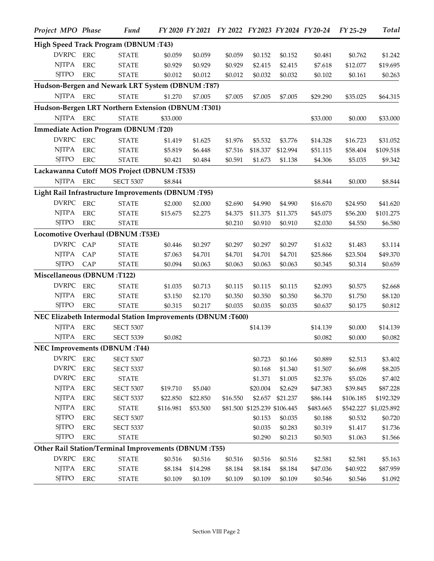| Project MPO Phase          |            | <b>Fund</b>                                                |           |          |          |                              |          | FY 2020 FY 2021 FY 2022 FY 2023 FY 2024 FY 20-24 | FY 25-29  | <b>Total</b> |
|----------------------------|------------|------------------------------------------------------------|-----------|----------|----------|------------------------------|----------|--------------------------------------------------|-----------|--------------|
|                            |            | High Speed Track Program (DBNUM:T43)                       |           |          |          |                              |          |                                                  |           |              |
| DVRPC ERC                  |            | <b>STATE</b>                                               | \$0.059   | \$0.059  | \$0.059  | \$0.152                      | \$0.152  | \$0.481                                          | \$0.762   | \$1.242      |
| <b>NJTPA</b>               | <b>ERC</b> | <b>STATE</b>                                               | \$0.929   | \$0.929  | \$0.929  | \$2.415                      | \$2.415  | \$7.618                                          | \$12.077  | \$19.695     |
| <b>SJTPO</b>               | <b>ERC</b> | <b>STATE</b>                                               | \$0.012   | \$0.012  | \$0.012  | \$0.032                      | \$0.032  | \$0.102                                          | \$0.161   | \$0.263      |
|                            |            | Hudson-Bergen and Newark LRT System (DBNUM:T87)            |           |          |          |                              |          |                                                  |           |              |
| <b>NJTPA</b>               | <b>ERC</b> | <b>STATE</b>                                               | \$1.270   | \$7.005  | \$7.005  | \$7.005                      | \$7.005  | \$29.290                                         | \$35.025  | \$64.315     |
|                            |            | Hudson-Bergen LRT Northern Extension (DBNUM:T301)          |           |          |          |                              |          |                                                  |           |              |
| NJTPA ERC                  |            | <b>STATE</b>                                               | \$33.000  |          |          |                              |          | \$33.000                                         | \$0.000   | \$33.000     |
|                            |            | Immediate Action Program (DBNUM:T20)                       |           |          |          |                              |          |                                                  |           |              |
| <b>DVRPC</b>               | <b>ERC</b> | <b>STATE</b>                                               | \$1.419   | \$1.625  | \$1.976  | \$5.532                      | \$3.776  | \$14.328                                         | \$16.723  | \$31.052     |
| <b>NJTPA</b>               | <b>ERC</b> | <b>STATE</b>                                               | \$5.819   | \$6.448  | \$7.516  | \$18.337                     | \$12.994 | \$51.115                                         | \$58.404  | \$109.518    |
| <b>SJTPO</b>               | <b>ERC</b> | <b>STATE</b>                                               | \$0.421   | \$0.484  | \$0.591  | \$1.673                      | \$1.138  | \$4.306                                          | \$5.035   | \$9.342      |
|                            |            | Lackawanna Cutoff MOS Project (DBNUM:T535)                 |           |          |          |                              |          |                                                  |           |              |
| <b>NJTPA</b>               | <b>ERC</b> | <b>SECT 5307</b>                                           | \$8.844   |          |          |                              |          | \$8.844                                          | \$0.000   | \$8.844      |
|                            |            | Light Rail Infrastructure Improvements (DBNUM:T95)         |           |          |          |                              |          |                                                  |           |              |
| <b>DVRPC</b>               | <b>ERC</b> | <b>STATE</b>                                               | \$2.000   | \$2.000  | \$2.690  | \$4.990                      | \$4.990  | \$16.670                                         | \$24.950  | \$41.620     |
| <b>NJTPA</b>               | <b>ERC</b> | <b>STATE</b>                                               | \$15.675  | \$2.275  | \$4.375  | \$11.375                     | \$11.375 | \$45.075                                         | \$56.200  | \$101.275    |
| <b>SJTPO</b>               | <b>ERC</b> | <b>STATE</b>                                               |           |          | \$0.210  | \$0.910                      | \$0.910  | \$2.030                                          | \$4.550   | \$6.580      |
|                            |            | Locomotive Overhaul (DBNUM:T53E)                           |           |          |          |                              |          |                                                  |           |              |
| <b>DVRPC</b>               | CAP        | <b>STATE</b>                                               | \$0.446   | \$0.297  | \$0.297  | \$0.297                      | \$0.297  | \$1.632                                          | \$1.483   | \$3.114      |
| <b>NJTPA</b>               | CAP        | <b>STATE</b>                                               | \$7.063   | \$4.701  | \$4.701  | \$4.701                      | \$4.701  | \$25.866                                         | \$23.504  | \$49.370     |
| <b>SJTPO</b>               | CAP        | <b>STATE</b>                                               | \$0.094   | \$0.063  | \$0.063  | \$0.063                      | \$0.063  | \$0.345                                          | \$0.314   | \$0.659      |
| Miscellaneous (DBNUM:T122) |            |                                                            |           |          |          |                              |          |                                                  |           |              |
| <b>DVRPC</b>               | <b>ERC</b> | <b>STATE</b>                                               | \$1.035   | \$0.713  | \$0.115  | \$0.115                      | \$0.115  | \$2.093                                          | \$0.575   | \$2.668      |
| <b>NJTPA</b>               | <b>ERC</b> | <b>STATE</b>                                               | \$3.150   | \$2.170  | \$0.350  | \$0.350                      | \$0.350  | \$6.370                                          | \$1.750   | \$8.120      |
| <b>SJTPO</b>               | <b>ERC</b> | <b>STATE</b>                                               | \$0.315   | \$0.217  | \$0.035  | \$0.035                      | \$0.035  | \$0.637                                          | \$0.175   | \$0.812      |
|                            |            | NEC Elizabeth Intermodal Station Improvements (DBNUM:T600) |           |          |          |                              |          |                                                  |           |              |
| <b>NJTPA</b>               | <b>ERC</b> | <b>SECT 5307</b>                                           |           |          |          | \$14.139                     |          | \$14.139                                         | \$0.000   | \$14.139     |
| <b>NJTPA</b>               | <b>ERC</b> | <b>SECT 5339</b>                                           | \$0.082   |          |          |                              |          | \$0.082                                          | \$0.000   | \$0.082      |
|                            |            | <b>NEC Improvements (DBNUM:T44)</b>                        |           |          |          |                              |          |                                                  |           |              |
| DVRPC ERC                  |            | <b>SECT 5307</b>                                           |           |          |          | \$0.723                      | \$0.166  | \$0.889                                          | \$2.513   | \$3.402      |
| <b>DVRPC</b>               | ERC        | <b>SECT 5337</b>                                           |           |          |          | \$0.168                      | \$1.340  | \$1.507                                          | \$6.698   | \$8.205      |
| <b>DVRPC</b>               | ERC        | <b>STATE</b>                                               |           |          |          | \$1.371                      | \$1.005  | \$2.376                                          | \$5.026   | \$7.402      |
| <b>NJTPA</b>               | <b>ERC</b> | <b>SECT 5307</b>                                           | \$19.710  | \$5.040  |          | \$20.004                     | \$2.629  | \$47.383                                         | \$39.845  | \$87.228     |
| <b>NJTPA</b>               | ERC        | <b>SECT 5337</b>                                           | \$22.850  | \$22.850 | \$16.550 | \$2.657                      | \$21.237 | \$86.144                                         | \$106.185 | \$192.329    |
| <b>NJTPA</b>               | <b>ERC</b> | <b>STATE</b>                                               | \$116.981 | \$53.500 |          | \$81.500 \$125.239 \$106.445 |          | \$483.665                                        | \$542.227 | \$1,025.892  |
| <b>SJTPO</b>               | <b>ERC</b> | <b>SECT 5307</b>                                           |           |          |          | \$0.153                      | \$0.035  | \$0.188                                          | \$0.532   | \$0.720      |
| <b>SJTPO</b>               | <b>ERC</b> | <b>SECT 5337</b>                                           |           |          |          | \$0.035                      | \$0.283  | \$0.319                                          | \$1.417   | \$1.736      |
| <b>SJTPO</b>               | ERC        | <b>STATE</b>                                               |           |          |          | \$0.290                      | \$0.213  | \$0.503                                          | \$1.063   | \$1.566      |
|                            |            | Other Rail Station/Terminal Improvements (DBNUM:T55)       |           |          |          |                              |          |                                                  |           |              |
| <b>DVRPC</b>               | <b>ERC</b> | <b>STATE</b>                                               | \$0.516   | \$0.516  | \$0.516  | \$0.516                      | \$0.516  | \$2.581                                          | \$2.581   | \$5.163      |
| <b>NJTPA</b>               | ERC        | <b>STATE</b>                                               | \$8.184   | \$14.298 | \$8.184  | \$8.184                      | \$8.184  | \$47.036                                         | \$40.922  | \$87.959     |
| <b>SJTPO</b>               | <b>ERC</b> | <b>STATE</b>                                               | \$0.109   | \$0.109  | \$0.109  | \$0.109                      | \$0.109  | \$0.546                                          | \$0.546   | \$1.092      |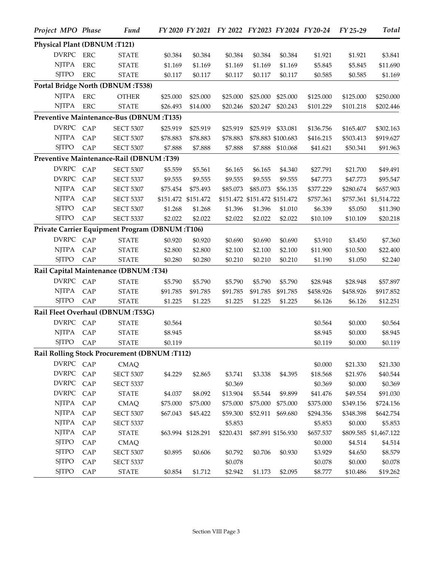| Project MPO Phase           |            | Fund                                               |          |                     | FY 2020 FY 2021 FY 2022 FY 2023 FY 2024 FY 20-24 |          |                               |           | FY 25-29  | Total                 |
|-----------------------------|------------|----------------------------------------------------|----------|---------------------|--------------------------------------------------|----------|-------------------------------|-----------|-----------|-----------------------|
| Physical Plant (DBNUM:T121) |            |                                                    |          |                     |                                                  |          |                               |           |           |                       |
| DVRPC ERC                   |            | <b>STATE</b>                                       | \$0.384  | \$0.384             | \$0.384                                          | \$0.384  | \$0.384                       | \$1.921   | \$1.921   | \$3.841               |
| <b>NJTPA</b>                | <b>ERC</b> | <b>STATE</b>                                       | \$1.169  | \$1.169             | \$1.169                                          | \$1.169  | \$1.169                       | \$5.845   | \$5.845   | \$11.690              |
| <b>SJTPO</b>                | <b>ERC</b> | <b>STATE</b>                                       | \$0.117  | \$0.117             | \$0.117                                          | \$0.117  | \$0.117                       | \$0.585   | \$0.585   | \$1.169               |
|                             |            | Portal Bridge North (DBNUM:T538)                   |          |                     |                                                  |          |                               |           |           |                       |
| <b>NJTPA</b>                | <b>ERC</b> | <b>OTHER</b>                                       | \$25.000 | \$25.000            | \$25.000                                         | \$25.000 | \$25.000                      | \$125.000 | \$125.000 | \$250.000             |
| <b>NJTPA</b>                | <b>ERC</b> | <b>STATE</b>                                       | \$26.493 | \$14.000            | \$20.246                                         | \$20.247 | \$20.243                      | \$101.229 | \$101.218 | \$202.446             |
|                             |            | Preventive Maintenance-Bus (DBNUM:T135)            |          |                     |                                                  |          |                               |           |           |                       |
| DVRPC CAP                   |            | <b>SECT 5307</b>                                   | \$25.919 | \$25.919            | \$25.919                                         | \$25.919 | \$33.081                      | \$136.756 | \$165.407 | \$302.163             |
| <b>NJTPA</b>                | CAP        | <b>SECT 5307</b>                                   | \$78.883 | \$78.883            | \$78.883                                         |          | \$78.883 \$100.683            | \$416.215 | \$503.413 | \$919.627             |
| <b>SJTPO</b>                | CAP        | <b>SECT 5307</b>                                   | \$7.888  | \$7.888             | \$7.888                                          | \$7.888  | \$10.068                      | \$41.621  | \$50.341  | \$91.963              |
|                             |            | Preventive Maintenance-Rail (DBNUM:T39)            |          |                     |                                                  |          |                               |           |           |                       |
| DVRPC                       | CAP        | <b>SECT 5307</b>                                   | \$5.559  | \$5.561             | \$6.165                                          | \$6.165  | \$4.340                       | \$27.791  | \$21.700  | \$49.491              |
| <b>DVRPC</b>                | CAP        | <b>SECT 5337</b>                                   | \$9.555  | \$9.555             | \$9.555                                          | \$9.555  | \$9.555                       | \$47.773  | \$47.773  | \$95.547              |
| <b>NJTPA</b>                | CAP        | <b>SECT 5307</b>                                   | \$75.454 | \$75.493            | \$85.073                                         | \$85.073 | \$56.135                      | \$377.229 | \$280.674 | \$657.903             |
| <b>NJTPA</b>                | CAP        | <b>SECT 5337</b>                                   |          | \$151.472 \$151.472 |                                                  |          | \$151.472 \$151.472 \$151.472 | \$757.361 |           | \$757.361 \$1,514.722 |
| <b>SJTPO</b>                | CAP        | <b>SECT 5307</b>                                   | \$1.268  | \$1.268             | \$1.396                                          | \$1.396  | \$1.010                       | \$6.339   | \$5.050   | \$11.390              |
| <b>SJTPO</b>                | CAP        | <b>SECT 5337</b>                                   | \$2.022  | \$2.022             | \$2.022                                          | \$2.022  | \$2.022                       | \$10.109  | \$10.109  | \$20.218              |
|                             |            | Private Carrier Equipment Program (DBNUM:T106)     |          |                     |                                                  |          |                               |           |           |                       |
| <b>DVRPC</b>                | CAP        | <b>STATE</b>                                       | \$0.920  | \$0.920             | \$0.690                                          | \$0.690  | \$0.690                       | \$3.910   | \$3.450   | \$7.360               |
| <b>NJTPA</b>                | CAP        | <b>STATE</b>                                       | \$2.800  | \$2.800             | \$2.100                                          | \$2.100  | \$2.100                       | \$11.900  | \$10.500  | \$22.400              |
| <b>SJTPO</b>                | CAP        | <b>STATE</b>                                       | \$0.280  | \$0.280             | \$0.210                                          | \$0.210  | \$0.210                       | \$1.190   | \$1.050   | \$2.240               |
|                             |            | Rail Capital Maintenance (DBNUM:T34)               |          |                     |                                                  |          |                               |           |           |                       |
| DVRPC CAP                   |            | <b>STATE</b>                                       | \$5.790  | \$5.790             | \$5.790                                          | \$5.790  | \$5.790                       | \$28.948  | \$28.948  | \$57.897              |
| <b>NJTPA</b>                | CAP        | <b>STATE</b>                                       | \$91.785 | \$91.785            | \$91.785                                         | \$91.785 | \$91.785                      | \$458.926 | \$458.926 | \$917.852             |
| <b>SJTPO</b>                | CAP        | <b>STATE</b>                                       | \$1.225  | \$1.225             | \$1.225                                          | \$1.225  | \$1.225                       | \$6.126   | \$6.126   | \$12.251              |
|                             |            | Rail Fleet Overhaul (DBNUM:T53G)                   |          |                     |                                                  |          |                               |           |           |                       |
| DVRPC CAP                   |            | <b>STATE</b>                                       | \$0.564  |                     |                                                  |          |                               | \$0.564   | \$0.000   | \$0.564               |
| <b>NJTPA</b>                | CAP        | <b>STATE</b>                                       | \$8.945  |                     |                                                  |          |                               | \$8.945   | \$0.000   | \$8.945               |
| SJTPO CAP                   |            | <b>STATE</b>                                       | \$0.119  |                     |                                                  |          |                               | \$0.119   | \$0.000   | \$0.119               |
|                             |            | <b>Rail Rolling Stock Procurement (DBNUM:T112)</b> |          |                     |                                                  |          |                               |           |           |                       |
| DVRPC CAP                   |            | <b>CMAQ</b>                                        |          |                     |                                                  |          |                               | \$0.000   | \$21.330  | \$21.330              |
| DVRPC CAP                   |            | <b>SECT 5307</b>                                   | \$4.229  | \$2.865             | \$3.741                                          | \$3.338  | \$4.395                       | \$18.568  | \$21.976  | \$40.544              |
| DVRPC CAP                   |            | <b>SECT 5337</b>                                   |          |                     | \$0.369                                          |          |                               | \$0.369   | \$0.000   | \$0.369               |
| DVRPC CAP                   |            | <b>STATE</b>                                       | \$4.037  | \$8.092             | \$13.904                                         | \$5.544  | \$9.899                       | \$41.476  | \$49.554  | \$91.030              |
| <b>NJTPA</b>                | CAP        | $\mathop{\rm CMAQ}\nolimits$                       | \$75.000 | \$75.000            | \$75.000                                         | \$75.000 | \$75.000                      | \$375.000 | \$349.156 | \$724.156             |
| <b>NJTPA</b>                | CAP        | <b>SECT 5307</b>                                   | \$67.043 | \$45.422            | \$59.300                                         |          | \$52.911 \$69.680             | \$294.356 | \$348.398 | \$642.754             |
| <b>NJTPA</b>                | CAP        | <b>SECT 5337</b>                                   |          |                     | \$5.853                                          |          |                               | \$5.853   | \$0.000   | \$5.853               |
| <b>NJTPA</b>                | CAP        | <b>STATE</b>                                       |          | \$63.994 \$128.291  | \$220.431                                        |          | \$87.891 \$156.930            | \$657.537 |           | \$809.585 \$1,467.122 |
| <b>SJTPO</b>                | CAP        | CMAQ                                               |          |                     |                                                  |          |                               | \$0.000   | \$4.514   | \$4.514               |
| <b>SJTPO</b>                | CAP        | <b>SECT 5307</b>                                   | \$0.895  | \$0.606             | \$0.792                                          | \$0.706  | \$0.930                       | \$3.929   | \$4.650   | \$8.579               |
| <b>SJTPO</b>                | CAP        | <b>SECT 5337</b>                                   |          |                     | \$0.078                                          |          |                               | \$0.078   | \$0.000   | \$0.078               |
| <b>SJTPO</b>                | CAP        | $\ensuremath{\mathsf{STATE}}$                      | \$0.854  | \$1.712             | \$2.942                                          | \$1.173  | \$2.095                       | \$8.777   | \$10.486  | \$19.262              |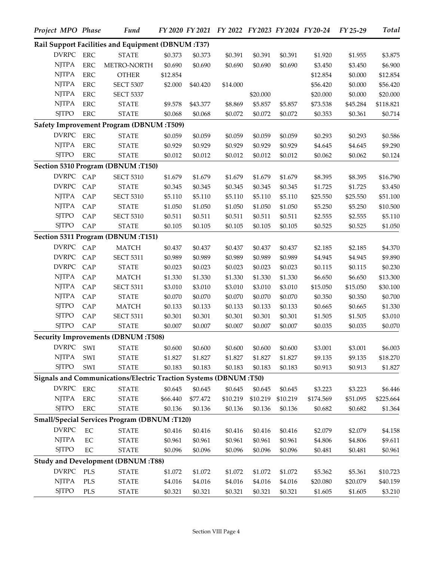| Project MPO Phase |             | <b>Fund</b>                                                      |          |          | FY 2020 FY 2021 FY 2022 FY 2023 FY 2024 FY 20-24 |          |          |           | FY 25-29 | <b>Total</b> |
|-------------------|-------------|------------------------------------------------------------------|----------|----------|--------------------------------------------------|----------|----------|-----------|----------|--------------|
|                   |             | Rail Support Facilities and Equipment (DBNUM:T37)                |          |          |                                                  |          |          |           |          |              |
| <b>DVRPC</b>      | ${\rm ERC}$ | <b>STATE</b>                                                     | \$0.373  | \$0.373  | \$0.391                                          | \$0.391  | \$0.391  | \$1.920   | \$1.955  | \$3.875      |
| <b>NJTPA</b>      | <b>ERC</b>  | METRO-NORTH                                                      | \$0.690  | \$0.690  | \$0.690                                          | \$0.690  | \$0.690  | \$3.450   | \$3.450  | \$6.900      |
| <b>NJTPA</b>      | <b>ERC</b>  | <b>OTHER</b>                                                     | \$12.854 |          |                                                  |          |          | \$12.854  | \$0.000  | \$12.854     |
| <b>NJTPA</b>      | <b>ERC</b>  | <b>SECT 5307</b>                                                 | \$2.000  | \$40.420 | \$14.000                                         |          |          | \$56.420  | \$0.000  | \$56.420     |
| <b>NJTPA</b>      | <b>ERC</b>  | <b>SECT 5337</b>                                                 |          |          |                                                  | \$20.000 |          | \$20.000  | \$0.000  | \$20.000     |
| <b>NJTPA</b>      | ERC         | <b>STATE</b>                                                     | \$9.578  | \$43.377 | \$8.869                                          | \$5.857  | \$5.857  | \$73.538  | \$45.284 | \$118.821    |
| <b>SJTPO</b>      | ${\rm ERC}$ | <b>STATE</b>                                                     | \$0.068  | \$0.068  | \$0.072                                          | \$0.072  | \$0.072  | \$0.353   | \$0.361  | \$0.714      |
|                   |             | Safety Improvement Program (DBNUM:T509)                          |          |          |                                                  |          |          |           |          |              |
| <b>DVRPC</b>      | <b>ERC</b>  | <b>STATE</b>                                                     | \$0.059  | \$0.059  | \$0.059                                          | \$0.059  | \$0.059  | \$0.293   | \$0.293  | \$0.586      |
| <b>NJTPA</b>      | <b>ERC</b>  | <b>STATE</b>                                                     | \$0.929  | \$0.929  | \$0.929                                          | \$0.929  | \$0.929  | \$4.645   | \$4.645  | \$9.290      |
| <b>SJTPO</b>      | <b>ERC</b>  | <b>STATE</b>                                                     | \$0.012  | \$0.012  | \$0.012                                          | \$0.012  | \$0.012  | \$0.062   | \$0.062  | \$0.124      |
|                   |             | Section 5310 Program (DBNUM:T150)                                |          |          |                                                  |          |          |           |          |              |
| <b>DVRPC</b>      | CAP         | <b>SECT 5310</b>                                                 | \$1.679  | \$1.679  | \$1.679                                          | \$1.679  | \$1.679  | \$8.395   | \$8.395  | \$16.790     |
| <b>DVRPC</b>      | CAP         | <b>STATE</b>                                                     | \$0.345  | \$0.345  | \$0.345                                          | \$0.345  | \$0.345  | \$1.725   | \$1.725  | \$3.450      |
| <b>NJTPA</b>      | CAP         | <b>SECT 5310</b>                                                 | \$5.110  | \$5.110  | \$5.110                                          | \$5.110  | \$5.110  | \$25.550  | \$25.550 | \$51.100     |
| <b>NJTPA</b>      | CAP         | <b>STATE</b>                                                     | \$1.050  | \$1.050  | \$1.050                                          | \$1.050  | \$1.050  | \$5.250   | \$5.250  | \$10.500     |
| <b>SJTPO</b>      | CAP         | <b>SECT 5310</b>                                                 | \$0.511  | \$0.511  | \$0.511                                          | \$0.511  | \$0.511  | \$2.555   | \$2.555  | \$5.110      |
| <b>SJTPO</b>      | CAP         | <b>STATE</b>                                                     | \$0.105  | \$0.105  | \$0.105                                          | \$0.105  | \$0.105  | \$0.525   | \$0.525  | \$1.050      |
|                   |             | Section 5311 Program (DBNUM:T151)                                |          |          |                                                  |          |          |           |          |              |
| <b>DVRPC</b>      | CAP         | <b>MATCH</b>                                                     | \$0.437  | \$0.437  | \$0.437                                          | \$0.437  | \$0.437  | \$2.185   | \$2.185  | \$4.370      |
| <b>DVRPC</b>      | CAP         | <b>SECT 5311</b>                                                 | \$0.989  | \$0.989  | \$0.989                                          | \$0.989  | \$0.989  | \$4.945   | \$4.945  | \$9.890      |
| <b>DVRPC</b>      | CAP         | <b>STATE</b>                                                     | \$0.023  | \$0.023  | \$0.023                                          | \$0.023  | \$0.023  | \$0.115   | \$0.115  | \$0.230      |
| <b>NJTPA</b>      | CAP         | <b>MATCH</b>                                                     | \$1.330  | \$1.330  | \$1.330                                          | \$1.330  | \$1.330  | \$6.650   | \$6.650  | \$13.300     |
| <b>NJTPA</b>      | CAP         | <b>SECT 5311</b>                                                 | \$3.010  | \$3.010  | \$3.010                                          | \$3.010  | \$3.010  | \$15.050  | \$15.050 | \$30.100     |
| <b>NJTPA</b>      | CAP         | <b>STATE</b>                                                     | \$0.070  | \$0.070  | \$0.070                                          | \$0.070  | \$0.070  | \$0.350   | \$0.350  | \$0.700      |
| <b>SJTPO</b>      | CAP         | <b>MATCH</b>                                                     | \$0.133  | \$0.133  | \$0.133                                          | \$0.133  | \$0.133  | \$0.665   | \$0.665  | \$1.330      |
| <b>SJTPO</b>      | CAP         | <b>SECT 5311</b>                                                 | \$0.301  | \$0.301  | \$0.301                                          | \$0.301  | \$0.301  | \$1.505   | \$1.505  | \$3.010      |
| <b>SJTPO</b>      | CAP         | <b>STATE</b>                                                     | \$0.007  | \$0.007  | \$0.007                                          | \$0.007  | \$0.007  | \$0.035   | \$0.035  | \$0.070      |
|                   |             | <b>Security Improvements (DBNUM:T508)</b>                        |          |          |                                                  |          |          |           |          |              |
| <b>DVRPC</b>      | SWI         | <b>STATE</b>                                                     | \$0.600  | \$0.600  | \$0.600                                          | \$0.600  | \$0.600  | \$3.001   | \$3.001  | \$6.003      |
| <b>NJTPA</b>      | SWI         | <b>STATE</b>                                                     | \$1.827  | \$1.827  | \$1.827                                          | \$1.827  | \$1.827  | \$9.135   | \$9.135  | \$18.270     |
| <b>SJTPO</b>      | SWI         | <b>STATE</b>                                                     | \$0.183  | \$0.183  | \$0.183                                          | \$0.183  | \$0.183  | \$0.913   | \$0.913  | \$1.827      |
|                   |             | Signals and Communications/Electric Traction Systems (DBNUM:T50) |          |          |                                                  |          |          |           |          |              |
| DVRPC ERC         |             | <b>STATE</b>                                                     | \$0.645  | \$0.645  | \$0.645                                          | \$0.645  | \$0.645  | \$3.223   | \$3.223  | \$6.446      |
| <b>NJTPA</b>      | ERC         | <b>STATE</b>                                                     | \$66.440 | \$77.472 | \$10.219                                         | \$10.219 | \$10.219 | \$174.569 | \$51.095 | \$225.664    |
| <b>SITPO</b>      | ERC         | <b>STATE</b>                                                     | \$0.136  | \$0.136  | \$0.136                                          | \$0.136  | \$0.136  | \$0.682   | \$0.682  | \$1.364      |
|                   |             | Small/Special Services Program (DBNUM:T120)                      |          |          |                                                  |          |          |           |          |              |
| <b>DVRPC</b>      | $\rm EC$    | <b>STATE</b>                                                     | \$0.416  | \$0.416  | \$0.416                                          | \$0.416  | \$0.416  | \$2.079   | \$2.079  | \$4.158      |
| <b>NJTPA</b>      | $\rm EC$    | <b>STATE</b>                                                     | \$0.961  | \$0.961  | \$0.961                                          | \$0.961  | \$0.961  | \$4.806   | \$4.806  | \$9.611      |
| <b>SJTPO</b>      | EC          | <b>STATE</b>                                                     | \$0.096  | \$0.096  | \$0.096                                          | \$0.096  | \$0.096  | \$0.481   | \$0.481  | \$0.961      |
|                   |             | <b>Study and Development (DBNUM:T88)</b>                         |          |          |                                                  |          |          |           |          |              |
| <b>DVRPC</b>      | PLS         | <b>STATE</b>                                                     | \$1.072  | \$1.072  | \$1.072                                          | \$1.072  | \$1.072  | \$5.362   | \$5.361  | \$10.723     |
| <b>NJTPA</b>      | PLS         | <b>STATE</b>                                                     | \$4.016  | \$4.016  | \$4.016                                          | \$4.016  | \$4.016  | \$20.080  | \$20.079 | \$40.159     |
| <b>SJTPO</b>      | <b>PLS</b>  | <b>STATE</b>                                                     | \$0.321  | \$0.321  | \$0.321                                          | \$0.321  | \$0.321  | \$1.605   | \$1.605  | \$3.210      |